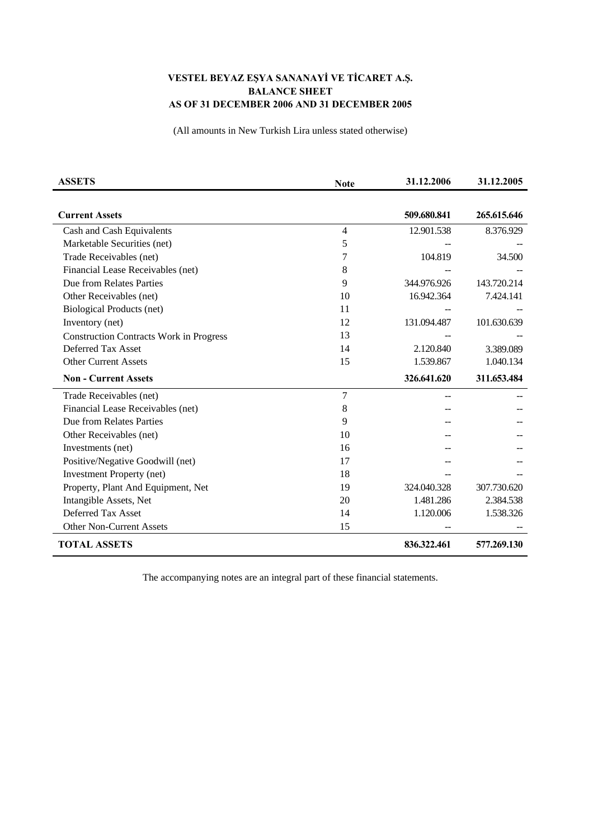## **VESTEL BEYAZ EŞYA SANANAYİ VE TİCARET A.Ş. BALANCE SHEET AS OF 31 DECEMBER 2006 AND 31 DECEMBER 2005**

(All amounts in New Turkish Lira unless stated otherwise)

| <b>ASSETS</b>                                  | <b>Note</b> | 31.12.2006  | 31.12.2005  |
|------------------------------------------------|-------------|-------------|-------------|
|                                                |             |             |             |
| <b>Current Assets</b>                          |             | 509.680.841 | 265.615.646 |
| Cash and Cash Equivalents                      | 4           | 12.901.538  | 8.376.929   |
| Marketable Securities (net)                    | 5           |             |             |
| Trade Receivables (net)                        | 7           | 104.819     | 34.500      |
| Financial Lease Receivables (net)              | 8           |             |             |
| Due from Relates Parties                       | 9           | 344.976.926 | 143.720.214 |
| Other Receivables (net)                        | 10          | 16.942.364  | 7.424.141   |
| <b>Biological Products (net)</b>               | 11          |             |             |
| Inventory (net)                                | 12          | 131.094.487 | 101.630.639 |
| <b>Construction Contracts Work in Progress</b> | 13          |             |             |
| Deferred Tax Asset                             | 14          | 2.120.840   | 3.389.089   |
| <b>Other Current Assets</b>                    | 15          | 1.539.867   | 1.040.134   |
| <b>Non - Current Assets</b>                    |             | 326.641.620 | 311.653.484 |
| Trade Receivables (net)                        | 7           |             |             |
| Financial Lease Receivables (net)              | 8           |             |             |
| Due from Relates Parties                       | 9           |             |             |
| Other Receivables (net)                        | 10          |             |             |
| Investments (net)                              | 16          |             |             |
| Positive/Negative Goodwill (net)               | 17          |             |             |
| <b>Investment Property (net)</b>               | 18          |             |             |
| Property, Plant And Equipment, Net             | 19          | 324.040.328 | 307.730.620 |
| Intangible Assets, Net                         | 20          | 1.481.286   | 2.384.538   |
| Deferred Tax Asset                             | 14          | 1.120.006   | 1.538.326   |
| <b>Other Non-Current Assets</b>                | 15          |             |             |
| <b>TOTAL ASSETS</b>                            |             | 836.322.461 | 577.269.130 |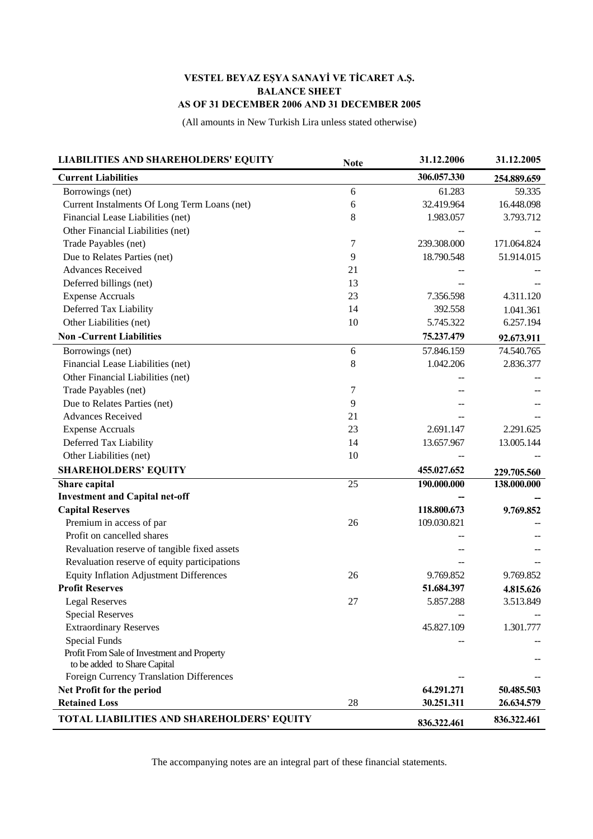## **VESTEL BEYAZ EŞYA SANAYİ VE TİCARET A.Ş. BALANCE SHEET AS OF 31 DECEMBER 2006 AND 31 DECEMBER 2005**

(All amounts in New Turkish Lira unless stated otherwise)

| <b>LIABILITIES AND SHAREHOLDERS' EQUITY</b>    | <b>Note</b> | 31.12.2006  | 31.12.2005  |
|------------------------------------------------|-------------|-------------|-------------|
| <b>Current Liabilities</b>                     |             | 306.057.330 | 254.889.659 |
| Borrowings (net)                               | 6           | 61.283      | 59.335      |
| Current Instalments Of Long Term Loans (net)   | 6           | 32.419.964  | 16.448.098  |
| Financial Lease Liabilities (net)              | 8           | 1.983.057   | 3.793.712   |
| Other Financial Liabilities (net)              |             |             |             |
| Trade Payables (net)                           | 7           | 239.308.000 | 171.064.824 |
| Due to Relates Parties (net)                   | 9           | 18.790.548  | 51.914.015  |
| <b>Advances Received</b>                       | 21          |             |             |
| Deferred billings (net)                        | 13          |             |             |
| <b>Expense Accruals</b>                        | 23          | 7.356.598   | 4.311.120   |
| Deferred Tax Liability                         | 14          | 392.558     | 1.041.361   |
| Other Liabilities (net)                        | 10          | 5.745.322   | 6.257.194   |
| <b>Non-Current Liabilities</b>                 |             | 75.237.479  | 92.673.911  |
| Borrowings (net)                               | 6           | 57.846.159  | 74.540.765  |
| Financial Lease Liabilities (net)              | 8           | 1.042.206   | 2.836.377   |
| Other Financial Liabilities (net)              |             |             |             |
| Trade Payables (net)                           | 7           |             |             |
| Due to Relates Parties (net)                   | 9           |             |             |
| <b>Advances Received</b>                       | 21          |             |             |
| <b>Expense Accruals</b>                        | 23          | 2.691.147   | 2.291.625   |
| Deferred Tax Liability                         | 14          | 13.657.967  | 13.005.144  |
| Other Liabilities (net)                        | 10          |             |             |
| <b>SHAREHOLDERS' EQUITY</b>                    |             | 455.027.652 | 229.705.560 |
| Share capital                                  | 25          | 190.000.000 | 138.000.000 |
| <b>Investment and Capital net-off</b>          |             |             |             |
| <b>Capital Reserves</b>                        |             | 118.800.673 | 9.769.852   |
| Premium in access of par                       | 26          | 109.030.821 |             |
| Profit on cancelled shares                     |             |             |             |
| Revaluation reserve of tangible fixed assets   |             |             |             |
| Revaluation reserve of equity participations   |             |             |             |
| <b>Equity Inflation Adjustment Differences</b> | 26          | 9.769.852   | 9.769.852   |
| <b>Profit Reserves</b>                         |             | 51.684.397  | 4.815.626   |
| <b>Legal Reserves</b>                          | 27          | 5.857.288   | 3.513.849   |
| <b>Special Reserves</b>                        |             |             |             |
| <b>Extraordinary Reserves</b>                  |             | 45.827.109  | 1.301.777   |
| <b>Special Funds</b>                           |             |             |             |
| Profit From Sale of Investment and Property    |             |             |             |
| to be added to Share Capital                   |             |             |             |
| Foreign Currency Translation Differences       |             |             |             |
| Net Profit for the period                      |             | 64.291.271  | 50.485.503  |
| <b>Retained Loss</b>                           | 28          | 30.251.311  | 26.634.579  |
| TOTAL LIABILITIES AND SHAREHOLDERS' EQUITY     |             | 836.322.461 | 836.322.461 |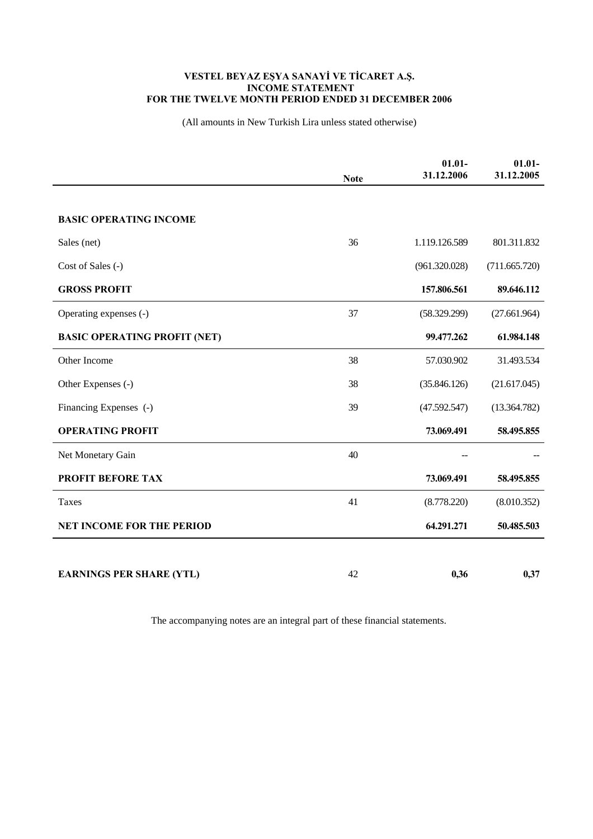## **VESTEL BEYAZ EŞYA SANAYİ VE TİCARET A.Ş. INCOME STATEMENT FOR THE TWELVE MONTH PERIOD ENDED 31 DECEMBER 2006**

(All amounts in New Turkish Lira unless stated otherwise)

|                                     | <b>Note</b> | $01.01 -$<br>31.12.2006 | $01.01 -$<br>31.12.2005 |
|-------------------------------------|-------------|-------------------------|-------------------------|
|                                     |             |                         |                         |
| <b>BASIC OPERATING INCOME</b>       |             |                         |                         |
| Sales (net)                         | 36          | 1.119.126.589           | 801.311.832             |
| Cost of Sales (-)                   |             | (961.320.028)           | (711.665.720)           |
| <b>GROSS PROFIT</b>                 |             | 157.806.561             | 89.646.112              |
| Operating expenses (-)              | 37          | (58.329.299)            | (27.661.964)            |
| <b>BASIC OPERATING PROFIT (NET)</b> |             | 99.477.262              | 61.984.148              |
| Other Income                        | 38          | 57.030.902              | 31.493.534              |
| Other Expenses (-)                  | 38          | (35.846.126)            | (21.617.045)            |
| Financing Expenses (-)              | 39          | (47.592.547)            | (13.364.782)            |
| <b>OPERATING PROFIT</b>             |             | 73.069.491              | 58.495.855              |
| Net Monetary Gain                   | 40          |                         |                         |
| <b>PROFIT BEFORE TAX</b>            |             | 73.069.491              | 58.495.855              |
| Taxes                               | 41          | (8.778.220)             | (8.010.352)             |
| <b>NET INCOME FOR THE PERIOD</b>    |             | 64.291.271              | 50.485.503              |
|                                     |             |                         |                         |
| <b>EARNINGS PER SHARE (YTL)</b>     | 42          | 0,36                    | 0,37                    |